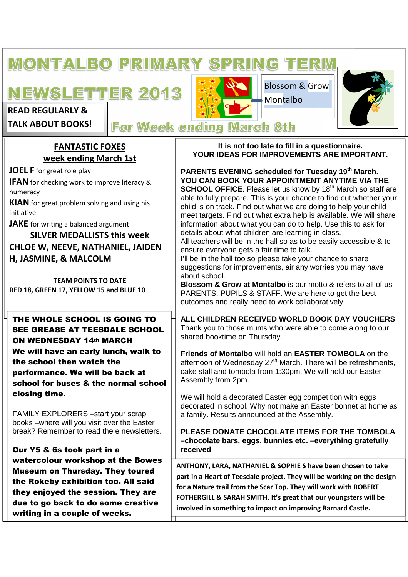## **MONTALBO PRIMARY SPRING TERM**

# **NEWSLETTER 2013**

**READ REGULARLY &** 

**TALK ABOUT BOOKS!** 

Blossom & Grow Montalbo



# **For Week ending March 8th**

# **FANTASTIC FOXES week ending March 1st**

**JOEL F** for great role play

**IFAN** for checking work to improve literacy & numeracy

**KIAN** for great problem solving and using his initiative

**JAKE** for writing a balanced argument

**SILVER MEDALLISTS this week CHLOE W, NEEVE, NATHANIEL, JAIDEN H, JASMINE, & MALCOLM** 

**TEAM POINTS TO DATE RED 18, GREEN 17, YELLOW 15 and BLUE 10** 

# THE WHOLE SCHOOL IS GOING TO SEE GREASE AT TEESDALE SCHOOL ON WEDNESDAY 14th MARCH

We will have an early lunch, walk to the school then watch the performance. We will be back at school for buses & the normal school closing time.

FAMILY EXPLORERS –start your scrap books –where will you visit over the Easter break? Remember to read the e newsletters.

Our Y5 & 6s took part in a watercolour workshop at the Bowes Museum on Thursday. They toured the Rokeby exhibition too. All said they enjoyed the session. They are due to go back to do some creative writing in a couple of weeks.

**It is not too late to fill in a questionnaire. YOUR IDEAS FOR IMPROVEMENTS ARE IMPORTANT.** 

**PARENTS EVENING scheduled for Tuesday 19th March. YOU CAN BOOK YOUR APPOINTMENT ANYTIME VIA THE SCHOOL OFFICE**. Please let us know by 18<sup>th</sup> March so staff are able to fully prepare. This is your chance to find out whether your child is on track. Find out what we are doing to help your child meet targets. Find out what extra help is available. We will share information about what you can do to help. Use this to ask for details about what children are learning in class. All teachers will be in the hall so as to be easily accessible & to

ensure everyone gets a fair time to talk. I'll be in the hall too so please take your chance to share suggestions for improvements, air any worries you may have

about school. **Blossom & Grow at Montalbo** is our motto & refers to all of us PARENTS, PUPILS & STAFF. We are here to get the best outcomes and really need to work collaboratively.

**ALL CHILDREN RECEIVED WORLD BOOK DAY VOUCHERS**  Thank you to those mums who were able to come along to our shared booktime on Thursday.

**Friends of Montalbo** will hold an **EASTER TOMBOLA** on the afternoon of Wednesday  $27<sup>th</sup>$  March. There will be refreshments, cake stall and tombola from 1:30pm. We will hold our Easter Assembly from 2pm.

We will hold a decorated Easter egg competition with eggs decorated in school. Why not make an Easter bonnet at home as a family. Results announced at the Assembly.

**PLEASE DONATE CHOCOLATE ITEMS FOR THE TOMBOLA –chocolate bars, eggs, bunnies etc. –everything gratefully received** 

**ANTHONY, LARA, NATHANIEL & SOPHIE S have been chosen to take part in a Heart of Teesdale project. They will be working on the design for a Nature trail from the Scar Top. They will work with ROBERT FOTHERGILL & SARAH SMITH. It's great that our youngsters will be involved in something to impact on improving Barnard Castle.**